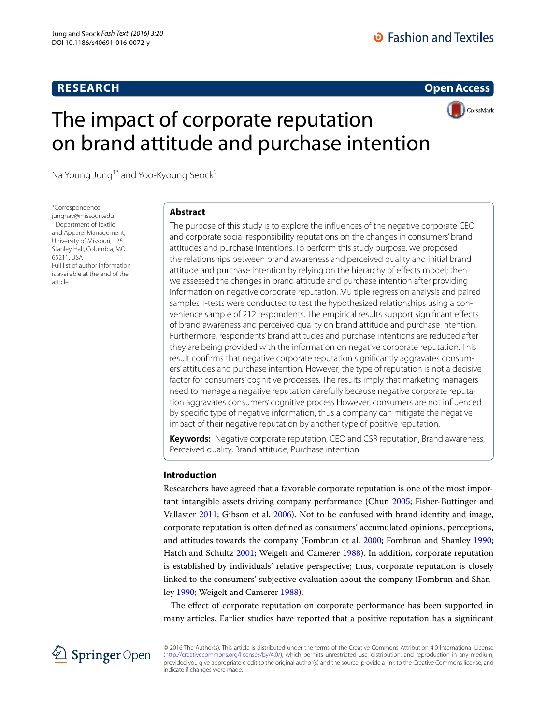# **RESEARCH**

**Open Access**



# The impact of corporate reputation on brand attitude and purchase intention

Na Young Jung<sup>1\*</sup> and Yoo-Kyoung Seock<sup>2</sup>

\*Correspondence: jungnay@missouri.edu <sup>1</sup> Department of Textile and Apparel Management, University of Missouri, 125 Stanley Hall, Columbia, MO, 65211, USA Full list of author information is available at the end of the article

# **Abstract**

The purpose of this study is to explore the influences of the negative corporate CEO and corporate social responsibility reputations on the changes in consumers' brand attitudes and purchase intentions. To perform this study purpose, we proposed the relationships between brand awareness and perceived quality and initial brand attitude and purchase intention by relying on the hierarchy of effects model; then we assessed the changes in brand attitude and purchase intention after providing information on negative corporate reputation. Multiple regression analysis and paired samples T-tests were conducted to test the hypothesized relationships using a convenience sample of 212 respondents. The empirical results support significant effects of brand awareness and perceived quality on brand attitude and purchase intention. Furthermore, respondents' brand attitudes and purchase intentions are reduced after they are being provided with the information on negative corporate reputation. This result confirms that negative corporate reputation significantly aggravates consumers' attitudes and purchase intention. However, the type of reputation is not a decisive factor for consumers' cognitive processes. The results imply that marketing managers need to manage a negative reputation carefully because negative corporate reputation aggravates consumers' cognitive process However, consumers are not influenced by specific type of negative information, thus a company can mitigate the negative impact of their negative reputation by another type of positive reputation.

**Keywords:** Negative corporate reputation, CEO and CSR reputation, Brand awareness, Perceived quality, Brand attitude, Purchase intention

# **Introduction**

Researchers have agreed that a favorable corporate reputation is one of the most important intangible assets driving company performance (Chun [2005;](#page-13-0) Fisher-Buttinger and Vallaster [2011;](#page-13-1) Gibson et al. [2006](#page-13-2)). Not to be confused with brand identity and image, corporate reputation is often defined as consumers' accumulated opinions, perceptions, and attitudes towards the company (Fombrun et al. [2000](#page-13-3); Fombrun and Shanley [1990](#page-13-4); Hatch and Schultz [2001;](#page-13-5) Weigelt and Camerer [1988\)](#page-14-0). In addition, corporate reputation is established by individuals' relative perspective; thus, corporate reputation is closely linked to the consumers' subjective evaluation about the company (Fombrun and Shanley [1990](#page-13-4); Weigelt and Camerer [1988\)](#page-14-0).

The effect of corporate reputation on corporate performance has been supported in many articles. Earlier studies have reported that a positive reputation has a significant



© 2016 The Author(s). This article is distributed under the terms of the Creative Commons Attribution 4.0 International License [\(http://creativecommons.org/licenses/by/4.0/](http://creativecommons.org/licenses/by/4.0/)), which permits unrestricted use, distribution, and reproduction in any medium, provided you give appropriate credit to the original author(s) and the source, provide a link to the Creative Commons license, and indicate if changes were made.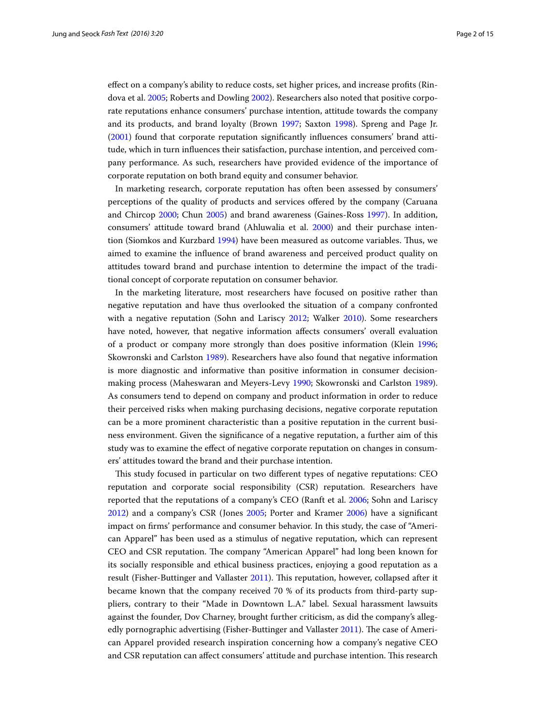effect on a company's ability to reduce costs, set higher prices, and increase profits (Rindova et al. [2005;](#page-14-1) Roberts and Dowling [2002\)](#page-14-2). Researchers also noted that positive corporate reputations enhance consumers' purchase intention, attitude towards the company and its products, and brand loyalty (Brown [1997;](#page-13-6) Saxton [1998\)](#page-14-3). Spreng and Page Jr. ([2001\)](#page-14-4) found that corporate reputation significantly influences consumers' brand attitude, which in turn influences their satisfaction, purchase intention, and perceived company performance. As such, researchers have provided evidence of the importance of corporate reputation on both brand equity and consumer behavior.

In marketing research, corporate reputation has often been assessed by consumers' perceptions of the quality of products and services offered by the company (Caruana and Chircop [2000;](#page-13-7) Chun [2005\)](#page-13-0) and brand awareness (Gaines-Ross [1997](#page-13-8)). In addition, consumers' attitude toward brand (Ahluwalia et al. [2000\)](#page-12-0) and their purchase intention (Siomkos and Kurzbard [1994\)](#page-14-5) have been measured as outcome variables. Thus, we aimed to examine the influence of brand awareness and perceived product quality on attitudes toward brand and purchase intention to determine the impact of the traditional concept of corporate reputation on consumer behavior.

In the marketing literature, most researchers have focused on positive rather than negative reputation and have thus overlooked the situation of a company confronted with a negative reputation (Sohn and Lariscy [2012;](#page-14-6) Walker [2010](#page-14-7)). Some researchers have noted, however, that negative information affects consumers' overall evaluation of a product or company more strongly than does positive information (Klein [1996](#page-13-9); Skowronski and Carlston [1989](#page-14-8)). Researchers have also found that negative information is more diagnostic and informative than positive information in consumer decisionmaking process (Maheswaran and Meyers-Levy [1990](#page-14-9); Skowronski and Carlston [1989](#page-14-8)). As consumers tend to depend on company and product information in order to reduce their perceived risks when making purchasing decisions, negative corporate reputation can be a more prominent characteristic than a positive reputation in the current business environment. Given the significance of a negative reputation, a further aim of this study was to examine the effect of negative corporate reputation on changes in consumers' attitudes toward the brand and their purchase intention.

This study focused in particular on two different types of negative reputations: CEO reputation and corporate social responsibility (CSR) reputation. Researchers have reported that the reputations of a company's CEO (Ranft et al. [2006](#page-14-10); Sohn and Lariscy [2012](#page-14-6)) and a company's CSR (Jones [2005;](#page-13-10) Porter and Kramer [2006\)](#page-14-11) have a significant impact on firms' performance and consumer behavior. In this study, the case of "American Apparel" has been used as a stimulus of negative reputation, which can represent CEO and CSR reputation. The company "American Apparel" had long been known for its socially responsible and ethical business practices, enjoying a good reputation as a result (Fisher-Buttinger and Vallaster [2011\)](#page-13-1). This reputation, however, collapsed after it became known that the company received 70 % of its products from third-party suppliers, contrary to their "Made in Downtown L.A." label. Sexual harassment lawsuits against the founder, Dov Charney, brought further criticism, as did the company's allegedly pornographic advertising (Fisher-Buttinger and Vallaster [2011](#page-13-1)). The case of American Apparel provided research inspiration concerning how a company's negative CEO and CSR reputation can affect consumers' attitude and purchase intention. This research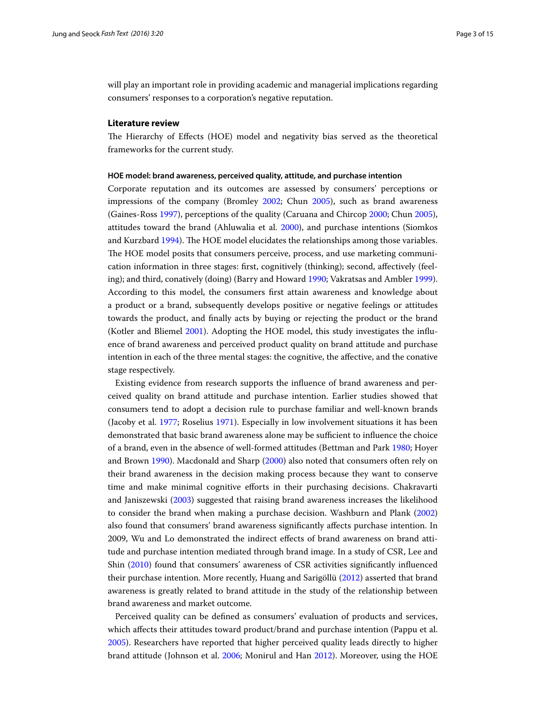will play an important role in providing academic and managerial implications regarding consumers' responses to a corporation's negative reputation.

# **Literature review**

The Hierarchy of Effects (HOE) model and negativity bias served as the theoretical frameworks for the current study.

#### **HOE model: brand awareness, perceived quality, attitude, and purchase intention**

Corporate reputation and its outcomes are assessed by consumers' perceptions or impressions of the company (Bromley [2002](#page-13-11); Chun [2005](#page-13-0)), such as brand awareness (Gaines-Ross [1997\)](#page-13-8), perceptions of the quality (Caruana and Chircop [2000](#page-13-7); Chun [2005](#page-13-0)), attitudes toward the brand (Ahluwalia et al. [2000](#page-12-0)), and purchase intentions (Siomkos and Kurzbard [1994\)](#page-14-5). The HOE model elucidates the relationships among those variables. The HOE model posits that consumers perceive, process, and use marketing communication information in three stages: first, cognitively (thinking); second, affectively (feeling); and third, conatively (doing) (Barry and Howard [1990;](#page-12-1) Vakratsas and Ambler [1999](#page-14-12)). According to this model, the consumers first attain awareness and knowledge about a product or a brand, subsequently develops positive or negative feelings or attitudes towards the product, and finally acts by buying or rejecting the product or the brand (Kotler and Bliemel [2001](#page-13-12)). Adopting the HOE model, this study investigates the influence of brand awareness and perceived product quality on brand attitude and purchase intention in each of the three mental stages: the cognitive, the affective, and the conative stage respectively.

Existing evidence from research supports the influence of brand awareness and perceived quality on brand attitude and purchase intention. Earlier studies showed that consumers tend to adopt a decision rule to purchase familiar and well-known brands (Jacoby et al. [1977;](#page-13-13) Roselius [1971](#page-14-13)). Especially in low involvement situations it has been demonstrated that basic brand awareness alone may be sufficient to influence the choice of a brand, even in the absence of well-formed attitudes (Bettman and Park [1980;](#page-12-2) Hoyer and Brown [1990\)](#page-13-14). Macdonald and Sharp [\(2000\)](#page-14-14) also noted that consumers often rely on their brand awareness in the decision making process because they want to conserve time and make minimal cognitive efforts in their purchasing decisions. Chakravarti and Janiszewski [\(2003\)](#page-13-15) suggested that raising brand awareness increases the likelihood to consider the brand when making a purchase decision. Washburn and Plank ([2002](#page-14-15)) also found that consumers' brand awareness significantly affects purchase intention. In 2009, Wu and Lo demonstrated the indirect effects of brand awareness on brand attitude and purchase intention mediated through brand image. In a study of CSR, Lee and Shin ([2010](#page-13-16)) found that consumers' awareness of CSR activities significantly influenced their purchase intention. More recently, Huang and Sarigöllü [\(2012\)](#page-13-17) asserted that brand awareness is greatly related to brand attitude in the study of the relationship between brand awareness and market outcome.

Perceived quality can be defined as consumers' evaluation of products and services, which affects their attitudes toward product/brand and purchase intention (Pappu et al. [2005](#page-14-16)). Researchers have reported that higher perceived quality leads directly to higher brand attitude (Johnson et al. [2006](#page-13-18); Monirul and Han [2012\)](#page-14-17). Moreover, using the HOE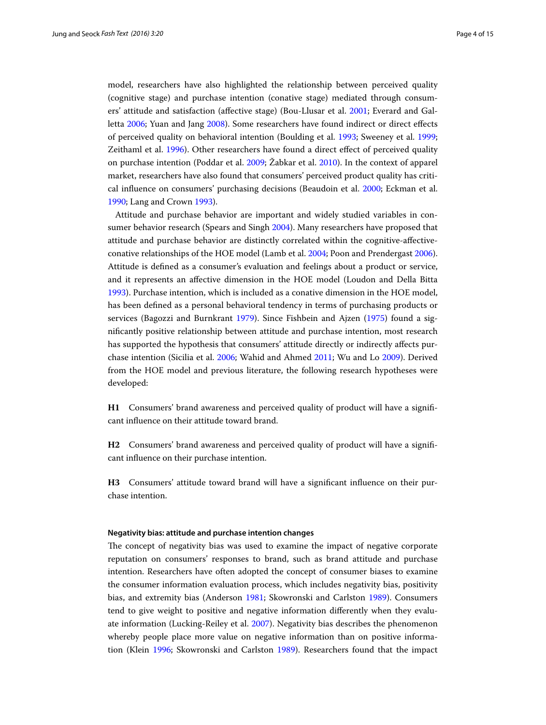model, researchers have also highlighted the relationship between perceived quality (cognitive stage) and purchase intention (conative stage) mediated through consumers' attitude and satisfaction (affective stage) (Bou-Llusar et al. [2001;](#page-13-19) Everard and Galletta [2006](#page-13-20); Yuan and Jang [2008](#page-14-18)). Some researchers have found indirect or direct effects of perceived quality on behavioral intention (Boulding et al. [1993;](#page-12-3) Sweeney et al. [1999](#page-14-19); Zeithaml et al. [1996\)](#page-14-20). Other researchers have found a direct effect of perceived quality on purchase intention (Poddar et al. [2009;](#page-14-21) Žabkar et al. [2010\)](#page-14-22). In the context of apparel market, researchers have also found that consumers' perceived product quality has critical influence on consumers' purchasing decisions (Beaudoin et al. [2000](#page-12-4); Eckman et al. [1990](#page-13-21); Lang and Crown [1993](#page-13-22)).

Attitude and purchase behavior are important and widely studied variables in consumer behavior research (Spears and Singh [2004](#page-14-23)). Many researchers have proposed that attitude and purchase behavior are distinctly correlated within the cognitive-affectiveconative relationships of the HOE model (Lamb et al. [2004;](#page-13-23) Poon and Prendergast [2006](#page-14-24)). Attitude is defined as a consumer's evaluation and feelings about a product or service, and it represents an affective dimension in the HOE model (Loudon and Della Bitta [1993](#page-13-24)). Purchase intention, which is included as a conative dimension in the HOE model, has been defined as a personal behavioral tendency in terms of purchasing products or services (Bagozzi and Burnkrant [1979](#page-12-5)). Since Fishbein and Ajzen [\(1975\)](#page-13-25) found a significantly positive relationship between attitude and purchase intention, most research has supported the hypothesis that consumers' attitude directly or indirectly affects purchase intention (Sicilia et al. [2006;](#page-14-25) Wahid and Ahmed [2011;](#page-14-26) Wu and Lo [2009\)](#page-14-27). Derived from the HOE model and previous literature, the following research hypotheses were developed:

**H1** Consumers' brand awareness and perceived quality of product will have a significant influence on their attitude toward brand.

**H2** Consumers' brand awareness and perceived quality of product will have a significant influence on their purchase intention.

**H3** Consumers' attitude toward brand will have a significant influence on their purchase intention.

#### **Negativity bias: attitude and purchase intention changes**

The concept of negativity bias was used to examine the impact of negative corporate reputation on consumers' responses to brand, such as brand attitude and purchase intention. Researchers have often adopted the concept of consumer biases to examine the consumer information evaluation process, which includes negativity bias, positivity bias, and extremity bias (Anderson [1981;](#page-12-6) Skowronski and Carlston [1989\)](#page-14-8). Consumers tend to give weight to positive and negative information differently when they evaluate information (Lucking-Reiley et al. [2007](#page-14-28)). Negativity bias describes the phenomenon whereby people place more value on negative information than on positive information (Klein [1996;](#page-13-9) Skowronski and Carlston [1989](#page-14-8)). Researchers found that the impact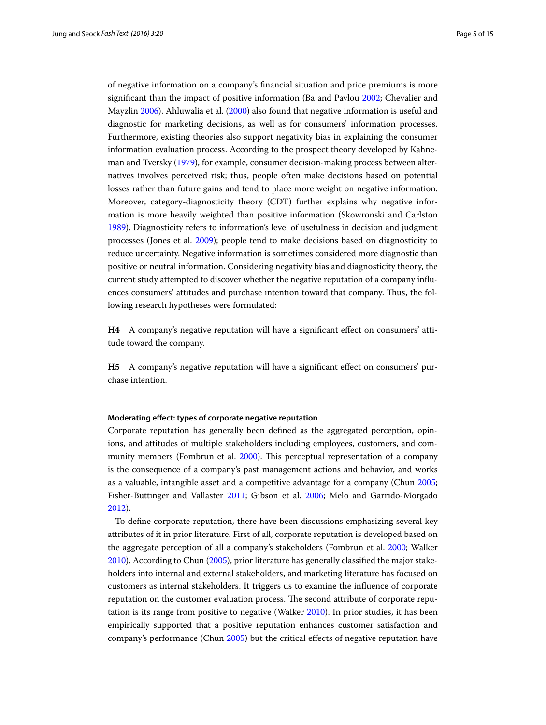of negative information on a company's financial situation and price premiums is more significant than the impact of positive information (Ba and Pavlou [2002;](#page-12-7) Chevalier and Mayzlin [2006\)](#page-13-26). Ahluwalia et al. ([2000](#page-12-0)) also found that negative information is useful and diagnostic for marketing decisions, as well as for consumers' information processes. Furthermore, existing theories also support negativity bias in explaining the consumer information evaluation process. According to the prospect theory developed by Kahneman and Tversky ([1979\)](#page-13-27), for example, consumer decision-making process between alternatives involves perceived risk; thus, people often make decisions based on potential losses rather than future gains and tend to place more weight on negative information. Moreover, category-diagnosticity theory (CDT) further explains why negative information is more heavily weighted than positive information (Skowronski and Carlston [1989](#page-14-8)). Diagnosticity refers to information's level of usefulness in decision and judgment processes (Jones et al. [2009\)](#page-13-28); people tend to make decisions based on diagnosticity to reduce uncertainty. Negative information is sometimes considered more diagnostic than positive or neutral information. Considering negativity bias and diagnosticity theory, the current study attempted to discover whether the negative reputation of a company influences consumers' attitudes and purchase intention toward that company. Thus, the following research hypotheses were formulated:

**H4** A company's negative reputation will have a significant effect on consumers' attitude toward the company.

**H5** A company's negative reputation will have a significant effect on consumers' purchase intention.

#### **Moderating effect: types of corporate negative reputation**

Corporate reputation has generally been defined as the aggregated perception, opinions, and attitudes of multiple stakeholders including employees, customers, and community members (Fombrun et al. [2000\)](#page-13-3). This perceptual representation of a company is the consequence of a company's past management actions and behavior, and works as a valuable, intangible asset and a competitive advantage for a company (Chun [2005](#page-13-0); Fisher-Buttinger and Vallaster [2011;](#page-13-1) Gibson et al. [2006;](#page-13-2) Melo and Garrido-Morgado [2012](#page-14-29)).

To define corporate reputation, there have been discussions emphasizing several key attributes of it in prior literature. First of all, corporate reputation is developed based on the aggregate perception of all a company's stakeholders (Fombrun et al. [2000;](#page-13-3) Walker [2010](#page-14-7)). According to Chun [\(2005\)](#page-13-0), prior literature has generally classified the major stakeholders into internal and external stakeholders, and marketing literature has focused on customers as internal stakeholders. It triggers us to examine the influence of corporate reputation on the customer evaluation process. The second attribute of corporate reputation is its range from positive to negative (Walker [2010\)](#page-14-7). In prior studies, it has been empirically supported that a positive reputation enhances customer satisfaction and company's performance (Chun [2005\)](#page-13-0) but the critical effects of negative reputation have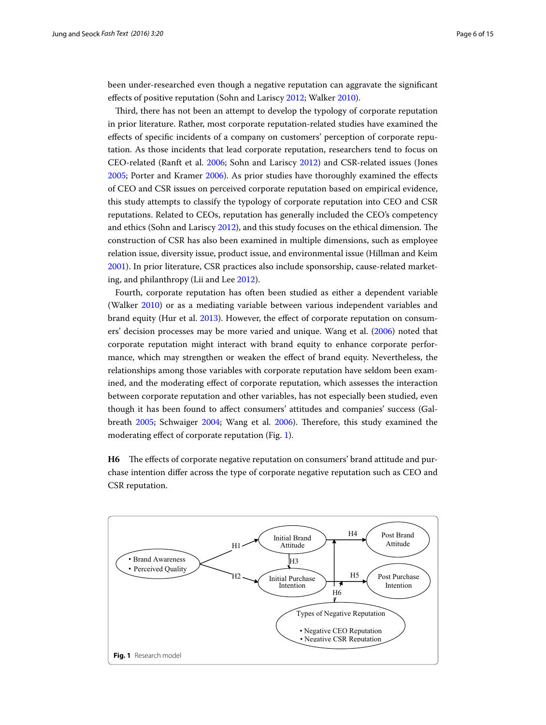been under-researched even though a negative reputation can aggravate the significant effects of positive reputation (Sohn and Lariscy [2012](#page-14-6); Walker [2010\)](#page-14-7).

Third, there has not been an attempt to develop the typology of corporate reputation in prior literature. Rather, most corporate reputation-related studies have examined the effects of specific incidents of a company on customers' perception of corporate reputation. As those incidents that lead corporate reputation, researchers tend to focus on CEO-related (Ranft et al. [2006](#page-14-10); Sohn and Lariscy [2012\)](#page-14-6) and CSR-related issues (Jones [2005](#page-13-10); Porter and Kramer [2006\)](#page-14-11). As prior studies have thoroughly examined the effects of CEO and CSR issues on perceived corporate reputation based on empirical evidence, this study attempts to classify the typology of corporate reputation into CEO and CSR reputations. Related to CEOs, reputation has generally included the CEO's competency and ethics (Sohn and Lariscy [2012](#page-14-6)), and this study focuses on the ethical dimension. The construction of CSR has also been examined in multiple dimensions, such as employee relation issue, diversity issue, product issue, and environmental issue (Hillman and Keim [2001](#page-13-29)). In prior literature, CSR practices also include sponsorship, cause-related marketing, and philanthropy (Lii and Lee [2012](#page-13-30)).

Fourth, corporate reputation has often been studied as either a dependent variable (Walker [2010](#page-14-7)) or as a mediating variable between various independent variables and brand equity (Hur et al. [2013\)](#page-13-31). However, the effect of corporate reputation on consumers' decision processes may be more varied and unique. Wang et al. [\(2006\)](#page-14-30) noted that corporate reputation might interact with brand equity to enhance corporate performance, which may strengthen or weaken the effect of brand equity. Nevertheless, the relationships among those variables with corporate reputation have seldom been examined, and the moderating effect of corporate reputation, which assesses the interaction between corporate reputation and other variables, has not especially been studied, even though it has been found to affect consumers' attitudes and companies' success (Galbreath [2005;](#page-13-32) Schwaiger [2004;](#page-14-31) Wang et al. [2006](#page-14-30)). Therefore, this study examined the moderating effect of corporate reputation (Fig. [1\)](#page-5-0).

**H6** The effects of corporate negative reputation on consumers' brand attitude and purchase intention differ across the type of corporate negative reputation such as CEO and CSR reputation.

<span id="page-5-0"></span>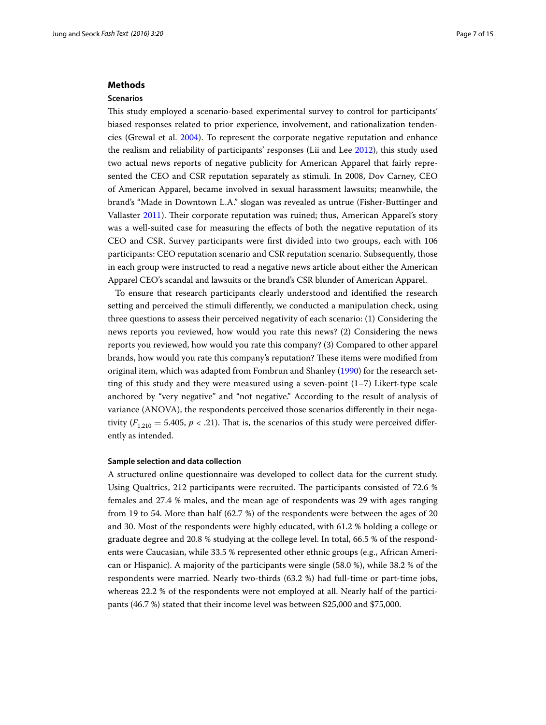# **Methods**

### **Scenarios**

This study employed a scenario-based experimental survey to control for participants' biased responses related to prior experience, involvement, and rationalization tendencies (Grewal et al. [2004](#page-13-33)). To represent the corporate negative reputation and enhance the realism and reliability of participants' responses (Lii and Lee [2012\)](#page-13-30), this study used two actual news reports of negative publicity for American Apparel that fairly represented the CEO and CSR reputation separately as stimuli. In 2008, Dov Carney, CEO of American Apparel, became involved in sexual harassment lawsuits; meanwhile, the brand's "Made in Downtown L.A." slogan was revealed as untrue (Fisher-Buttinger and Vallaster [2011\)](#page-13-1). Their corporate reputation was ruined; thus, American Apparel's story was a well-suited case for measuring the effects of both the negative reputation of its CEO and CSR. Survey participants were first divided into two groups, each with 106 participants: CEO reputation scenario and CSR reputation scenario. Subsequently, those in each group were instructed to read a negative news article about either the American Apparel CEO's scandal and lawsuits or the brand's CSR blunder of American Apparel.

To ensure that research participants clearly understood and identified the research setting and perceived the stimuli differently, we conducted a manipulation check, using three questions to assess their perceived negativity of each scenario: (1) Considering the news reports you reviewed, how would you rate this news? (2) Considering the news reports you reviewed, how would you rate this company? (3) Compared to other apparel brands, how would you rate this company's reputation? These items were modified from original item, which was adapted from Fombrun and Shanley [\(1990](#page-13-4)) for the research setting of this study and they were measured using a seven-point  $(1-7)$  Likert-type scale anchored by "very negative" and "not negative." According to the result of analysis of variance (ANOVA), the respondents perceived those scenarios differently in their negativity  $(F_{1,210} = 5.405, p < .21)$ . That is, the scenarios of this study were perceived differently as intended.

# **Sample selection and data collection**

A structured online questionnaire was developed to collect data for the current study. Using Qualtrics, 212 participants were recruited. The participants consisted of 72.6 % females and 27.4 % males, and the mean age of respondents was 29 with ages ranging from 19 to 54. More than half (62.7 %) of the respondents were between the ages of 20 and 30. Most of the respondents were highly educated, with 61.2 % holding a college or graduate degree and 20.8 % studying at the college level. In total, 66.5 % of the respondents were Caucasian, while 33.5 % represented other ethnic groups (e.g., African American or Hispanic). A majority of the participants were single (58.0 %), while 38.2 % of the respondents were married. Nearly two-thirds (63.2 %) had full-time or part-time jobs, whereas 22.2 % of the respondents were not employed at all. Nearly half of the participants (46.7 %) stated that their income level was between \$25,000 and \$75,000.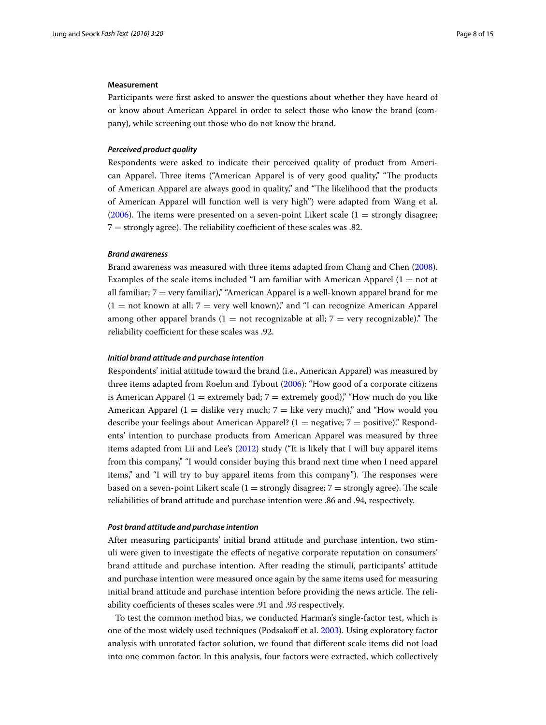# **Measurement**

Participants were first asked to answer the questions about whether they have heard of or know about American Apparel in order to select those who know the brand (company), while screening out those who do not know the brand.

# *Perceived product quality*

Respondents were asked to indicate their perceived quality of product from American Apparel. Three items ("American Apparel is of very good quality," "The products of American Apparel are always good in quality," and "The likelihood that the products of American Apparel will function well is very high") were adapted from Wang et al. ([2006\)](#page-14-30). The items were presented on a seven-point Likert scale  $(1 =$  strongly disagree;  $7 =$  strongly agree). The reliability coefficient of these scales was .82.

# *Brand awareness*

Brand awareness was measured with three items adapted from Chang and Chen ([2008](#page-13-34)). Examples of the scale items included "I am familiar with American Apparel  $(1 = not at$ all familiar;  $7 = \text{very familiar}$ ," "American Apparel is a well-known apparel brand for me  $(1 = not known at all; 7 = very well known)<sub>n</sub> and "I can recognize American Apparel$ among other apparel brands  $(1 = not recognizable at all; 7 = very recognizable).$  The reliability coefficient for these scales was .92.

# *Initial brand attitude and purchase intention*

Respondents' initial attitude toward the brand (i.e., American Apparel) was measured by three items adapted from Roehm and Tybout [\(2006](#page-14-32)): "How good of a corporate citizens is American Apparel (1 = extremely bad; 7 = extremely good)," "How much do you like American Apparel (1 = dislike very much; 7 = like very much)," and "How would you describe your feelings about American Apparel? ( $1 =$  negative;  $7 =$  positive)." Respondents' intention to purchase products from American Apparel was measured by three items adapted from Lii and Lee's ([2012](#page-13-30)) study ("It is likely that I will buy apparel items from this company," "I would consider buying this brand next time when I need apparel items," and "I will try to buy apparel items from this company"). The responses were based on a seven-point Likert scale  $(1 =$  strongly disagree;  $7 =$  strongly agree). The scale reliabilities of brand attitude and purchase intention were .86 and .94, respectively.

#### *Post brand attitude and purchase intention*

After measuring participants' initial brand attitude and purchase intention, two stimuli were given to investigate the effects of negative corporate reputation on consumers' brand attitude and purchase intention. After reading the stimuli, participants' attitude and purchase intention were measured once again by the same items used for measuring initial brand attitude and purchase intention before providing the news article. The reliability coefficients of theses scales were .91 and .93 respectively.

To test the common method bias, we conducted Harman's single-factor test, which is one of the most widely used techniques (Podsakoff et al. [2003\)](#page-14-33). Using exploratory factor analysis with unrotated factor solution, we found that different scale items did not load into one common factor. In this analysis, four factors were extracted, which collectively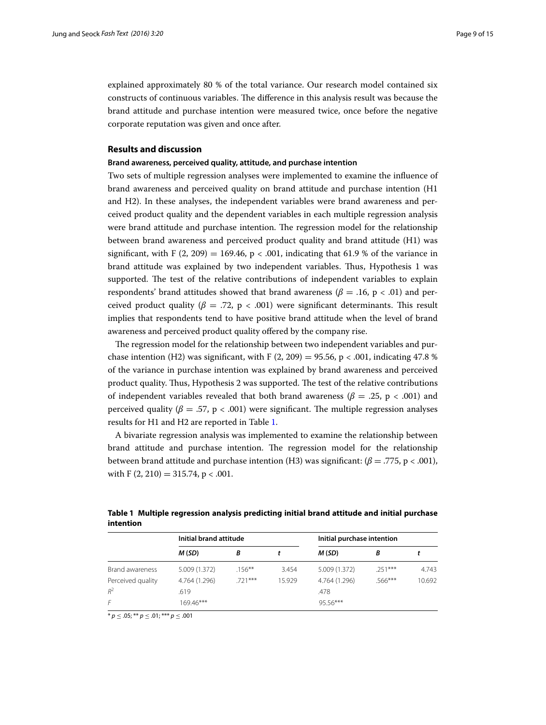explained approximately 80 % of the total variance. Our research model contained six constructs of continuous variables. The difference in this analysis result was because the brand attitude and purchase intention were measured twice, once before the negative corporate reputation was given and once after.

# **Results and discussion**

# **Brand awareness, perceived quality, attitude, and purchase intention**

Two sets of multiple regression analyses were implemented to examine the influence of brand awareness and perceived quality on brand attitude and purchase intention (H1 and H2). In these analyses, the independent variables were brand awareness and perceived product quality and the dependent variables in each multiple regression analysis were brand attitude and purchase intention. The regression model for the relationship between brand awareness and perceived product quality and brand attitude (H1) was significant, with F  $(2, 209) = 169.46$ , p < .001, indicating that 61.9 % of the variance in brand attitude was explained by two independent variables. Thus, Hypothesis 1 was supported. The test of the relative contributions of independent variables to explain respondents' brand attitudes showed that brand awareness ( $\beta = .16$ , p < .01) and perceived product quality ( $\beta$  = .72, p < .001) were significant determinants. This result implies that respondents tend to have positive brand attitude when the level of brand awareness and perceived product quality offered by the company rise.

The regression model for the relationship between two independent variables and purchase intention (H2) was significant, with F  $(2, 209) = 95.56$ , p < .001, indicating 47.8 % of the variance in purchase intention was explained by brand awareness and perceived product quality. Thus, Hypothesis 2 was supported. The test of the relative contributions of independent variables revealed that both brand awareness ( $\beta = .25$ , p <  $.001$ ) and perceived quality ( $\beta = .57$ , p < .001) were significant. The multiple regression analyses results for H1 and H2 are reported in Table [1.](#page-8-0)

A bivariate regression analysis was implemented to examine the relationship between brand attitude and purchase intention. The regression model for the relationship between brand attitude and purchase intention (H3) was significant:  $(\beta = .775, p < .001)$ , with  $F(2, 210) = 315.74$ ,  $p < .001$ .

<span id="page-8-0"></span>

|           | Table 1 Multiple regression analysis predicting initial brand attitude and initial purchase |  |
|-----------|---------------------------------------------------------------------------------------------|--|
| intention |                                                                                             |  |

|                   | Initial brand attitude |           |        | Initial purchase intention |           |        |
|-------------------|------------------------|-----------|--------|----------------------------|-----------|--------|
|                   | M(SD)                  | B         |        | M(SD)                      |           |        |
| Brand awareness   | 5.009 (1.372)          | $.156***$ | 3.454  | 5.009 (1.372)              | $.251***$ | 4.743  |
| Perceived quality | 4.764 (1.296)          | 721***    | 15.929 | 4.764 (1.296)              | $.566***$ | 10.692 |
| $R^2$             | .619                   |           |        | .478                       |           |        |
| F                 | $169.46***$            |           |        | $95.56***$                 |           |        |

\* *p* ≤ .05; \*\* *p* ≤ .01; \*\*\* *p* ≤ .001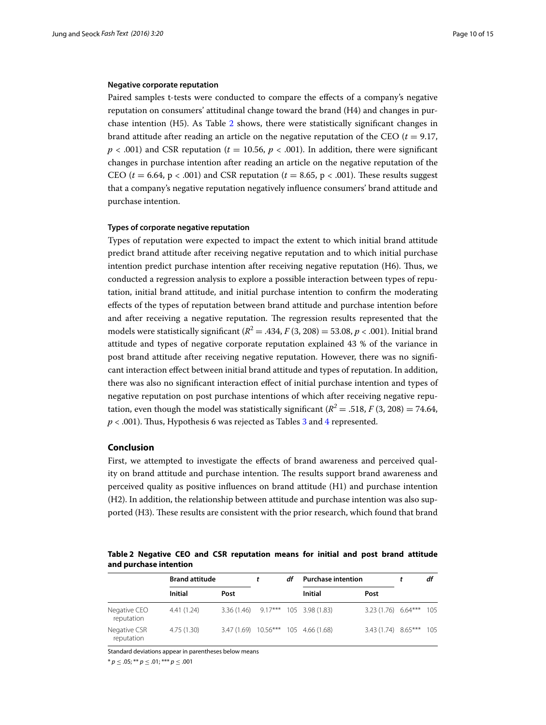# **Negative corporate reputation**

Paired samples t-tests were conducted to compare the effects of a company's negative reputation on consumers' attitudinal change toward the brand (H4) and changes in purchase intention (H5). As Table [2](#page-9-0) shows, there were statistically significant changes in brand attitude after reading an article on the negative reputation of the CEO  $(t = 9.17,$  $p < .001$ ) and CSR reputation ( $t = 10.56$ ,  $p < .001$ ). In addition, there were significant changes in purchase intention after reading an article on the negative reputation of the CEO  $(t = 6.64, p < .001)$  and CSR reputation  $(t = 8.65, p < .001)$ . These results suggest that a company's negative reputation negatively influence consumers' brand attitude and purchase intention.

# **Types of corporate negative reputation**

Types of reputation were expected to impact the extent to which initial brand attitude predict brand attitude after receiving negative reputation and to which initial purchase intention predict purchase intention after receiving negative reputation (H6). Thus, we conducted a regression analysis to explore a possible interaction between types of reputation, initial brand attitude, and initial purchase intention to confirm the moderating effects of the types of reputation between brand attitude and purchase intention before and after receiving a negative reputation. The regression results represented that the models were statistically significant  $(R^2 = .434, F(3, 208) = 53.08, p < .001)$ . Initial brand attitude and types of negative corporate reputation explained 43 % of the variance in post brand attitude after receiving negative reputation. However, there was no significant interaction effect between initial brand attitude and types of reputation. In addition, there was also no significant interaction effect of initial purchase intention and types of negative reputation on post purchase intentions of which after receiving negative reputation, even though the model was statistically significant  $(R^2 = .518, F(3, 208) = 74.64,$  $p < .001$ ). Thus, Hypothesis 6 was rejected as Tables [3](#page-10-0) and [4](#page-10-1) represented.

# **Conclusion**

First, we attempted to investigate the effects of brand awareness and perceived quality on brand attitude and purchase intention. The results support brand awareness and perceived quality as positive influences on brand attitude (H1) and purchase intention (H2). In addition, the relationship between attitude and purchase intention was also supported (H3). These results are consistent with the prior research, which found that brand

<span id="page-9-0"></span>**Table 2 Negative CEO and CSR reputation means for initial and post brand attitude and purchase intention**

|                            | <b>Brand attitude</b> |      | df | <b>Purchase intention</b> |                                         | df                     |       |
|----------------------------|-----------------------|------|----|---------------------------|-----------------------------------------|------------------------|-------|
|                            | Initial               | Post |    |                           | Initial                                 | Post                   |       |
| Negative CEO<br>reputation | 4.41(1.24)            |      |    |                           | $3.36(1.46)$ $9.17***$ 105 $3.98(1.83)$ | $3.23(1.76)$ 6.64***   | 105   |
| Negative CSR<br>reputation | 4.75(1.30)            |      |    |                           | 3.47 (1.69) 10.56*** 105 4.66 (1.68)    | $3.43(1.74)$ $8.65***$ | - 105 |

Standard deviations appear in parentheses below means

\* *p* ≤ .05; \*\* *p* ≤ .01; \*\*\* *p* ≤ .001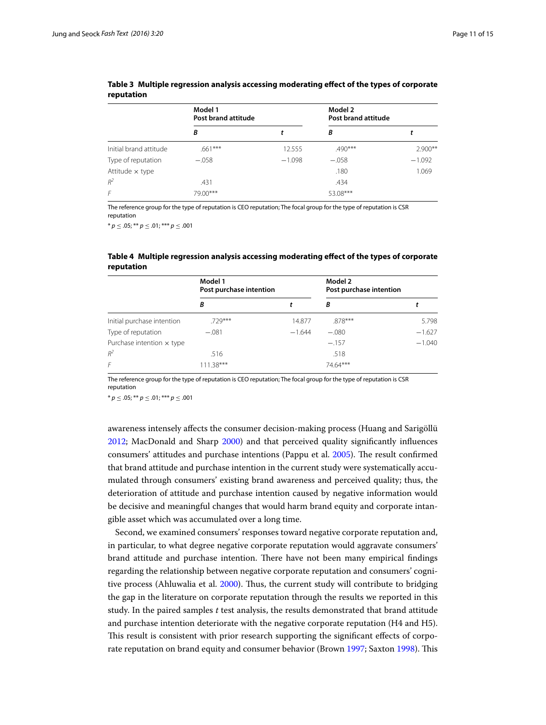|                        | Model 1<br>Post brand attitude |          | Model 2<br>Post brand attitude |           |  |
|------------------------|--------------------------------|----------|--------------------------------|-----------|--|
|                        | В                              |          | В                              |           |  |
| Initial brand attitude | $.661***$                      | 12.555   | .490***                        | $2.900**$ |  |
| Type of reputation     | $-.058$                        | $-1.098$ | $-.058$                        | $-1.092$  |  |
| Attitude $\times$ type |                                |          | .180                           | 1.069     |  |
| $R^2$                  | .431                           |          | .434                           |           |  |
|                        | 79.00***                       |          | 53.08***                       |           |  |

# <span id="page-10-0"></span>**Table 3 Multiple regression analysis accessing moderating effect of the types of corporate reputation**

The reference group for the type of reputation is CEO reputation; The focal group for the type of reputation is CSR reputation

\* *p* ≤ .05; \*\* *p* ≤ .01; \*\*\* *p* ≤ .001

# <span id="page-10-1"></span>**Table 4 Multiple regression analysis accessing moderating effect of the types of corporate reputation**

|                                  | Model 1<br>Post purchase intention |          | Model 2<br>Post purchase intention |          |
|----------------------------------|------------------------------------|----------|------------------------------------|----------|
|                                  | B                                  |          | B                                  |          |
| Initial purchase intention       | $.729***$                          | 14.877   | .878***                            | 5.798    |
| Type of reputation               | $-.081$                            | $-1.644$ | $-.080$                            | $-1.627$ |
| Purchase intention $\times$ type |                                    |          | $-.157$                            | $-1.040$ |
| $R^2$                            | .516                               |          | .518                               |          |
| F                                | $11.38***$                         |          | 74.64***                           |          |

The reference group for the type of reputation is CEO reputation; The focal group for the type of reputation is CSR reputation

\* *p* ≤ .05; \*\* *p* ≤ .01; \*\*\* *p* ≤ .001

awareness intensely affects the consumer decision-making process (Huang and Sarigöllü [2012](#page-13-17); MacDonald and Sharp [2000\)](#page-14-14) and that perceived quality significantly influences consumers' attitudes and purchase intentions (Pappu et al. [2005](#page-14-16)). The result confirmed that brand attitude and purchase intention in the current study were systematically accumulated through consumers' existing brand awareness and perceived quality; thus, the deterioration of attitude and purchase intention caused by negative information would be decisive and meaningful changes that would harm brand equity and corporate intangible asset which was accumulated over a long time.

Second, we examined consumers' responses toward negative corporate reputation and, in particular, to what degree negative corporate reputation would aggravate consumers' brand attitude and purchase intention. There have not been many empirical findings regarding the relationship between negative corporate reputation and consumers' cognitive process (Ahluwalia et al. [2000\)](#page-12-0). Thus, the current study will contribute to bridging the gap in the literature on corporate reputation through the results we reported in this study. In the paired samples *t* test analysis, the results demonstrated that brand attitude and purchase intention deteriorate with the negative corporate reputation (H4 and H5). This result is consistent with prior research supporting the significant effects of corporate reputation on brand equity and consumer behavior (Brown [1997](#page-13-6); Saxton [1998\)](#page-14-3). This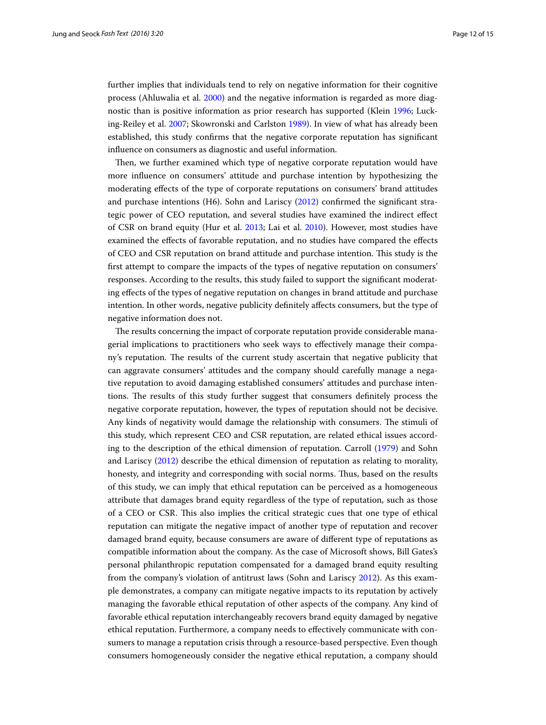further implies that individuals tend to rely on negative information for their cognitive process (Ahluwalia et al. [2000](#page-12-0)) and the negative information is regarded as more diagnostic than is positive information as prior research has supported (Klein [1996;](#page-13-9) Lucking-Reiley et al. [2007;](#page-14-28) Skowronski and Carlston [1989\)](#page-14-8). In view of what has already been established, this study confirms that the negative corporate reputation has significant influence on consumers as diagnostic and useful information.

Then, we further examined which type of negative corporate reputation would have more influence on consumers' attitude and purchase intention by hypothesizing the moderating effects of the type of corporate reputations on consumers' brand attitudes and purchase intentions (H6). Sohn and Lariscy ([2012\)](#page-14-6) confirmed the significant strategic power of CEO reputation, and several studies have examined the indirect effect of CSR on brand equity (Hur et al. [2013](#page-13-31); Lai et al. [2010](#page-13-35)). However, most studies have examined the effects of favorable reputation, and no studies have compared the effects of CEO and CSR reputation on brand attitude and purchase intention. This study is the first attempt to compare the impacts of the types of negative reputation on consumers' responses. According to the results, this study failed to support the significant moderating effects of the types of negative reputation on changes in brand attitude and purchase intention. In other words, negative publicity definitely affects consumers, but the type of negative information does not.

The results concerning the impact of corporate reputation provide considerable managerial implications to practitioners who seek ways to effectively manage their company's reputation. The results of the current study ascertain that negative publicity that can aggravate consumers' attitudes and the company should carefully manage a negative reputation to avoid damaging established consumers' attitudes and purchase intentions. The results of this study further suggest that consumers definitely process the negative corporate reputation, however, the types of reputation should not be decisive. Any kinds of negativity would damage the relationship with consumers. The stimuli of this study, which represent CEO and CSR reputation, are related ethical issues according to the description of the ethical dimension of reputation. Carroll ([1979](#page-13-36)) and Sohn and Lariscy ([2012](#page-14-6)) describe the ethical dimension of reputation as relating to morality, honesty, and integrity and corresponding with social norms. Thus, based on the results of this study, we can imply that ethical reputation can be perceived as a homogeneous attribute that damages brand equity regardless of the type of reputation, such as those of a CEO or CSR. This also implies the critical strategic cues that one type of ethical reputation can mitigate the negative impact of another type of reputation and recover damaged brand equity, because consumers are aware of different type of reputations as compatible information about the company. As the case of Microsoft shows, Bill Gates's personal philanthropic reputation compensated for a damaged brand equity resulting from the company's violation of antitrust laws (Sohn and Lariscy [2012](#page-14-6)). As this example demonstrates, a company can mitigate negative impacts to its reputation by actively managing the favorable ethical reputation of other aspects of the company. Any kind of favorable ethical reputation interchangeably recovers brand equity damaged by negative ethical reputation. Furthermore, a company needs to effectively communicate with consumers to manage a reputation crisis through a resource-based perspective. Even though consumers homogeneously consider the negative ethical reputation, a company should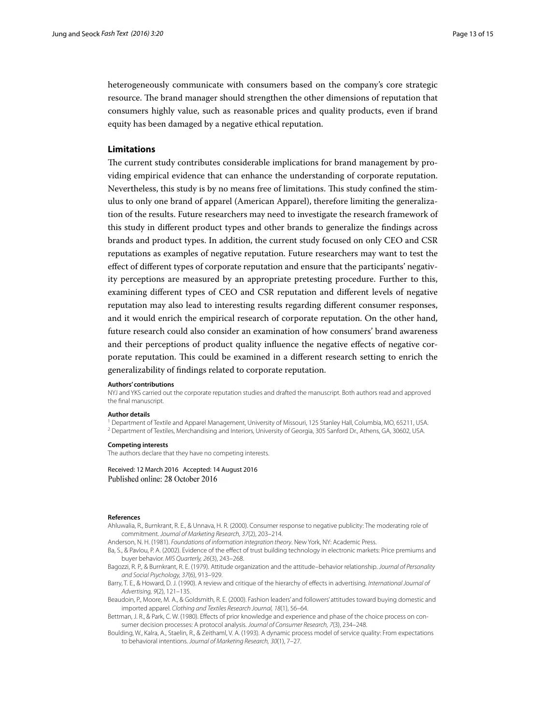heterogeneously communicate with consumers based on the company's core strategic resource. The brand manager should strengthen the other dimensions of reputation that consumers highly value, such as reasonable prices and quality products, even if brand equity has been damaged by a negative ethical reputation.

# **Limitations**

The current study contributes considerable implications for brand management by providing empirical evidence that can enhance the understanding of corporate reputation. Nevertheless, this study is by no means free of limitations. This study confined the stimulus to only one brand of apparel (American Apparel), therefore limiting the generalization of the results. Future researchers may need to investigate the research framework of this study in different product types and other brands to generalize the findings across brands and product types. In addition, the current study focused on only CEO and CSR reputations as examples of negative reputation. Future researchers may want to test the effect of different types of corporate reputation and ensure that the participants' negativity perceptions are measured by an appropriate pretesting procedure. Further to this, examining different types of CEO and CSR reputation and different levels of negative reputation may also lead to interesting results regarding different consumer responses, and it would enrich the empirical research of corporate reputation. On the other hand, future research could also consider an examination of how consumers' brand awareness and their perceptions of product quality influence the negative effects of negative corporate reputation. This could be examined in a different research setting to enrich the generalizability of findings related to corporate reputation.

#### **Authors' contributions**

NYJ and YKS carried out the corporate reputation studies and drafted the manuscript. Both authors read and approved the final manuscript.

#### **Author details**

<sup>1</sup> Department of Textile and Apparel Management, University of Missouri, 125 Stanley Hall, Columbia, MO, 65211, USA.<br><sup>2</sup> Department of Textiles, Merchandising and Interiors, University of Georgia, 305 Sanford Dr., Athens

#### **Competing interests**

The authors declare that they have no competing interests.

Received: 12 March 2016 Accepted: 14 August 2016 Published online: 28 October 2016

#### **References**

- <span id="page-12-0"></span>Ahluwalia, R., Burnkrant, R. E., & Unnava, H. R. (2000). Consumer response to negative publicity: The moderating role of commitment. *Journal of Marketing Research, 37*(2), 203–214.
- <span id="page-12-6"></span>Anderson, N. H. (1981). *Foundations of information integration theory*. New York, NY: Academic Press.
- <span id="page-12-7"></span>Ba, S., & Pavlou, P. A. (2002). Evidence of the effect of trust building technology in electronic markets: Price premiums and buyer behavior. *MIS Quarterly, 26*(3), 243–268.
- <span id="page-12-5"></span>Bagozzi, R. P., & Burnkrant, R. E. (1979). Attitude organization and the attitude–behavior relationship. *Journal of Personality and Social Psychology, 37*(6), 913–929.
- <span id="page-12-1"></span>Barry, T. E., & Howard, D. J. (1990). A review and critique of the hierarchy of effects in advertising. *International Journal of Advertising, 9*(2), 121–135.

<span id="page-12-4"></span>Beaudoin, P., Moore, M. A., & Goldsmith, R. E. (2000). Fashion leaders' and followers' attitudes toward buying domestic and imported apparel. *Clothing and Textiles Research Journal, 18*(1), 56–64.

<span id="page-12-2"></span>Bettman, J. R., & Park, C. W. (1980). Effects of prior knowledge and experience and phase of the choice process on consumer decision processes: A protocol analysis. *Journal of Consumer Research, 7*(3), 234–248.

<span id="page-12-3"></span>Boulding, W., Kalra, A., Staelin, R., & Zeithaml, V. A. (1993). A dynamic process model of service quality: From expectations to behavioral intentions. *Journal of Marketing Research, 30*(1), 7–27.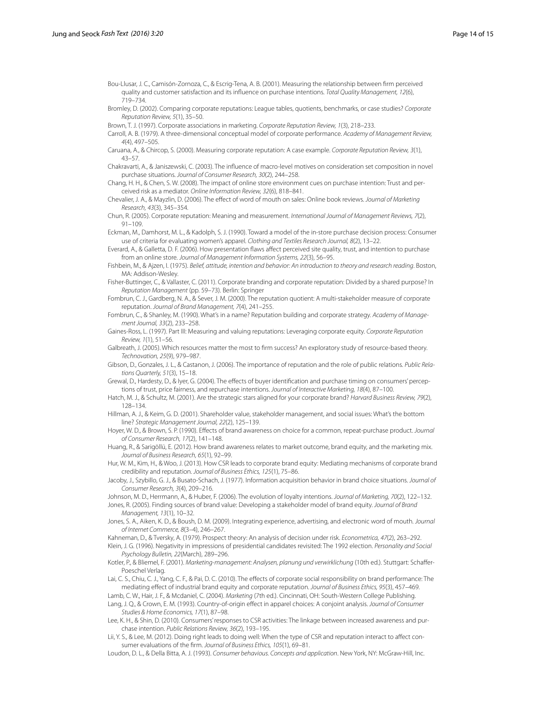- <span id="page-13-19"></span>Bou-Llusar, J. C., Camisón-Zornoza, C., & Escrig-Tena, A. B. (2001). Measuring the relationship between firm perceived quality and customer satisfaction and its influence on purchase intentions. *Total Quality Management, 12*(6), 719–734.
- <span id="page-13-11"></span>Bromley, D. (2002). Comparing corporate reputations: League tables, quotients, benchmarks, or case studies? *Corporate Reputation Review, 5*(1), 35–50.

<span id="page-13-6"></span>Brown, T. J. (1997). Corporate associations in marketing. *Corporate Reputation Review, 1*(3), 218–233.

- <span id="page-13-36"></span>Carroll, A. B. (1979). A three-dimensional conceptual model of corporate performance. *Academy of Management Review, 4*(4), 497–505.
- <span id="page-13-7"></span>Caruana, A., & Chircop, S. (2000). Measuring corporate reputation: A case example. *Corporate Reputation Review, 3*(1), 43–57.
- <span id="page-13-15"></span>Chakravarti, A., & Janiszewski, C. (2003). The influence of macro-level motives on consideration set composition in novel purchase situations. *Journal of Consumer Research, 30*(2), 244–258.
- <span id="page-13-34"></span>Chang, H. H., & Chen, S. W. (2008). The impact of online store environment cues on purchase intention: Trust and perceived risk as a mediator. *Online Information Review, 32*(6), 818–841.
- <span id="page-13-26"></span>Chevalier, J. A., & Mayzlin, D. (2006). The effect of word of mouth on sales: Online book reviews. *Journal of Marketing Research, 43*(3), 345–354.
- <span id="page-13-0"></span>Chun, R. (2005). Corporate reputation: Meaning and measurement. *International Journal of Management Reviews, 7*(2), 91–109.
- <span id="page-13-21"></span>Eckman, M., Damhorst, M. L., & Kadolph, S. J. (1990). Toward a model of the in-store purchase decision process: Consumer use of criteria for evaluating women's apparel. *Clothing and Textiles Research Journal, 8*(2), 13–22.
- <span id="page-13-20"></span>Everard, A., & Galletta, D. F. (2006). How presentation flaws affect perceived site quality, trust, and intention to purchase from an online store. *Journal of Management Information Systems, 22*(3), 56–95.
- <span id="page-13-25"></span>Fishbein, M., & Ajzen, I. (1975). *Belief, attitude, intention and behavior: An introduction to theory and research reading*. Boston, MA: Addison-Wesley.
- <span id="page-13-1"></span>Fisher-Buttinger, C., & Vallaster, C. (2011). Corporate branding and corporate reputation: Divided by a shared purpose? In *Reputation Management* (pp. 59–73). Berlin: Springer

<span id="page-13-3"></span>Fombrun, C. J., Gardberg, N. A., & Sever, J. M. (2000). The reputation quotient: A multi-stakeholder measure of corporate reputation. *Journal of Brand Management, 7*(4), 241–255.

<span id="page-13-4"></span>Fombrun, C., & Shanley, M. (1990). What's in a name? Reputation building and corporate strategy. *Academy of Management Journal, 33*(2), 233–258.

<span id="page-13-8"></span>Gaines-Ross, L. (1997). Part III: Measuring and valuing reputations: Leveraging corporate equity. *Corporate Reputation Review, 1*(1), 51–56.

<span id="page-13-32"></span>Galbreath, J. (2005). Which resources matter the most to firm success? An exploratory study of resource-based theory. *Technovation, 25*(9), 979–987.

<span id="page-13-2"></span>Gibson, D., Gonzales, J. L., & Castanon, J. (2006). The importance of reputation and the role of public relations. *Public Relations Quarterly, 51*(3), 15–18.

<span id="page-13-33"></span>Grewal, D., Hardesty, D., & Iyer, G. (2004). The effects of buyer identification and purchase timing on consumers' perceptions of trust, price fairness, and repurchase intentions. *Journal of Interactive Marketing, 18*(4), 87–100.

- <span id="page-13-5"></span>Hatch, M. J., & Schultz, M. (2001). Are the strategic stars aligned for your corporate brand? *Harvard Business Review, 79*(2), 128–134.
- <span id="page-13-29"></span>Hillman, A. J., & Keim, G. D. (2001). Shareholder value, stakeholder management, and social issues: What's the bottom line? *Strategic Management Journal, 22*(2), 125–139.

<span id="page-13-14"></span>Hoyer, W. D., & Brown, S. P. (1990). Effects of brand awareness on choice for a common, repeat-purchase product. *Journal of Consumer Research, 17*(2), 141–148.

<span id="page-13-17"></span>Huang, R., & Sarigöllü, E. (2012). How brand awareness relates to market outcome, brand equity, and the marketing mix. *Journal of Business Research, 65*(1), 92–99.

<span id="page-13-31"></span>Hur, W. M., Kim, H., & Woo, J. (2013). How CSR leads to corporate brand equity: Mediating mechanisms of corporate brand credibility and reputation. *Journal of Business Ethics, 125*(1), 75–86.

<span id="page-13-13"></span>Jacoby, J., Szybillo, G. J., & Busato-Schach, J. (1977). Information acquisition behavior in brand choice situations. *Journal of Consumer Research, 3*(4), 209–216.

<span id="page-13-18"></span><span id="page-13-10"></span>Johnson, M. D., Herrmann, A., & Huber, F. (2006). The evolution of loyalty intentions. *Journal of Marketing, 70*(2), 122–132. Jones, R. (2005). Finding sources of brand value: Developing a stakeholder model of brand equity. *Journal of Brand Management, 13*(1), 10–32.

- <span id="page-13-28"></span>Jones, S. A., Aiken, K. D., & Boush, D. M. (2009). Integrating experience, advertising, and electronic word of mouth. *Journal of Internet Commerce, 8*(3–4), 246–267.
- <span id="page-13-27"></span>Kahneman, D., & Tversky, A. (1979). Prospect theory: An analysis of decision under risk. *Econometrica, 47*(2), 263–292.

<span id="page-13-9"></span>Klein, J. G. (1996). Negativity in impressions of presidential candidates revisited: The 1992 election. *Personality and Social Psychology Bulletin, 22*(March), 289–296.

<span id="page-13-12"></span>Kotler, P., & Bliemel, F. (2001). *Marketing-management: Analysen, planung und verwirklichung* (10th ed.). Stuttgart: Schaffer-Poeschel Verlag.

<span id="page-13-35"></span>Lai, C. S., Chiu, C. J., Yang, C. F., & Pai, D. C. (2010). The effects of corporate social responsibility on brand performance: The mediating effect of industrial brand equity and corporate reputation. *Journal of Business Ethics, 95*(3), 457–469.

- <span id="page-13-23"></span><span id="page-13-22"></span>Lamb, C. W., Hair, J. F., & Mcdaniel, C. (2004). *Marketing* (7th ed.). Cincinnati, OH: South-Western College Publishing. Lang, J. Q., & Crown, E. M. (1993). Country-of-origin effect in apparel choices: A conjoint analysis. *Journal of Consumer Studies & Home Economics, 17*(1), 87–98.
- <span id="page-13-16"></span>Lee, K. H., & Shin, D. (2010). Consumers' responses to CSR activities: The linkage between increased awareness and purchase intention. *Public Relations Review, 36*(2), 193–195.

<span id="page-13-30"></span>Lii, Y. S., & Lee, M. (2012). Doing right leads to doing well: When the type of CSR and reputation interact to affect consumer evaluations of the firm. *Journal of Business Ethics, 105*(1), 69–81.

<span id="page-13-24"></span>Loudon, D. L., & Della Bitta, A. J. (1993). *Consumer behavious. Concepts and application*. New York, NY: McGraw-Hill, Inc.